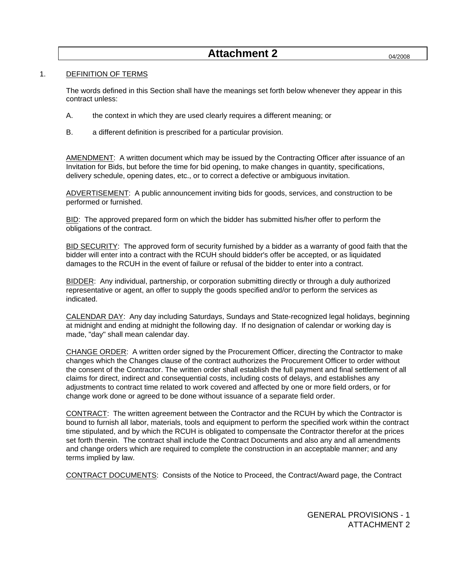# **Attachment 2**

# 1. DEFINITION OF TERMS

 The words defined in this Section shall have the meanings set forth below whenever they appear in this contract unless:

- A. the context in which they are used clearly requires a different meaning; or
- B. a different definition is prescribed for a particular provision.

AMENDMENT: A written document which may be issued by the Contracting Officer after issuance of an Invitation for Bids, but before the time for bid opening, to make changes in quantity, specifications, delivery schedule, opening dates, etc., or to correct a defective or ambiguous invitation.

ADVERTISEMENT: A public announcement inviting bids for goods, services, and construction to be performed or furnished.

BID: The approved prepared form on which the bidder has submitted his/her offer to perform the obligations of the contract.

BID SECURITY: The approved form of security furnished by a bidder as a warranty of good faith that the bidder will enter into a contract with the RCUH should bidder's offer be accepted, or as liquidated damages to the RCUH in the event of failure or refusal of the bidder to enter into a contract.

BIDDER: Any individual, partnership, or corporation submitting directly or through a duly authorized representative or agent, an offer to supply the goods specified and/or to perform the services as indicated.

CALENDAR DAY: Any day including Saturdays, Sundays and State-recognized legal holidays, beginning at midnight and ending at midnight the following day. If no designation of calendar or working day is made, "day" shall mean calendar day.

CHANGE ORDER: A written order signed by the Procurement Officer, directing the Contractor to make changes which the Changes clause of the contract authorizes the Procurement Officer to order without the consent of the Contractor. The written order shall establish the full payment and final settlement of all claims for direct, indirect and consequential costs, including costs of delays, and establishes any adjustments to contract time related to work covered and affected by one or more field orders, or for change work done or agreed to be done without issuance of a separate field order.

CONTRACT: The written agreement between the Contractor and the RCUH by which the Contractor is bound to furnish all labor, materials, tools and equipment to perform the specified work within the contract time stipulated, and by which the RCUH is obligated to compensate the Contractor therefor at the prices set forth therein. The contract shall include the Contract Documents and also any and all amendments and change orders which are required to complete the construction in an acceptable manner; and any terms implied by law.

CONTRACT DOCUMENTS: Consists of the Notice to Proceed, the Contract/Award page, the Contract

GENERAL PROVISIONS - 1 ATTACHMENT 2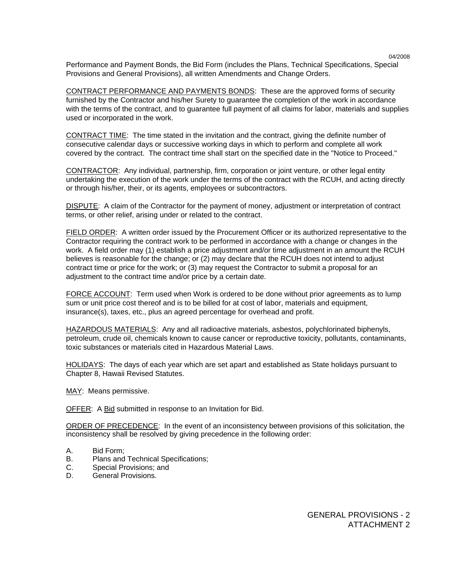Performance and Payment Bonds, the Bid Form (includes the Plans, Technical Specifications, Special Provisions and General Provisions), all written Amendments and Change Orders.

CONTRACT PERFORMANCE AND PAYMENTS BONDS: These are the approved forms of security furnished by the Contractor and his/her Surety to guarantee the completion of the work in accordance with the terms of the contract, and to guarantee full payment of all claims for labor, materials and supplies used or incorporated in the work.

CONTRACT TIME: The time stated in the invitation and the contract, giving the definite number of consecutive calendar days or successive working days in which to perform and complete all work covered by the contract. The contract time shall start on the specified date in the "Notice to Proceed."

CONTRACTOR: Any individual, partnership, firm, corporation or joint venture, or other legal entity undertaking the execution of the work under the terms of the contract with the RCUH, and acting directly or through his/her, their, or its agents, employees or subcontractors.

DISPUTE: A claim of the Contractor for the payment of money, adjustment or interpretation of contract terms, or other relief, arising under or related to the contract.

FIELD ORDER: A written order issued by the Procurement Officer or its authorized representative to the Contractor requiring the contract work to be performed in accordance with a change or changes in the work. A field order may (1) establish a price adjustment and/or time adjustment in an amount the RCUH believes is reasonable for the change; or (2) may declare that the RCUH does not intend to adjust contract time or price for the work; or (3) may request the Contractor to submit a proposal for an adjustment to the contract time and/or price by a certain date.

FORCE ACCOUNT: Term used when Work is ordered to be done without prior agreements as to lump sum or unit price cost thereof and is to be billed for at cost of labor, materials and equipment, insurance(s), taxes, etc., plus an agreed percentage for overhead and profit.

HAZARDOUS MATERIALS: Any and all radioactive materials, asbestos, polychlorinated biphenyls, petroleum, crude oil, chemicals known to cause cancer or reproductive toxicity, pollutants, contaminants, toxic substances or materials cited in Hazardous Material Laws.

HOLIDAYS: The days of each year which are set apart and established as State holidays pursuant to Chapter 8, Hawaii Revised Statutes.

MAY: Means permissive.

OFFER: A Bid submitted in response to an Invitation for Bid.

 ORDER OF PRECEDENCE: In the event of an inconsistency between provisions of this solicitation, the inconsistency shall be resolved by giving precedence in the following order:

- A. Bid Form;
- B. Plans and Technical Specifications;
- C. Special Provisions; and
- D. General Provisions.

GENERAL PROVISIONS - 2 ATTACHMENT 2

04/2008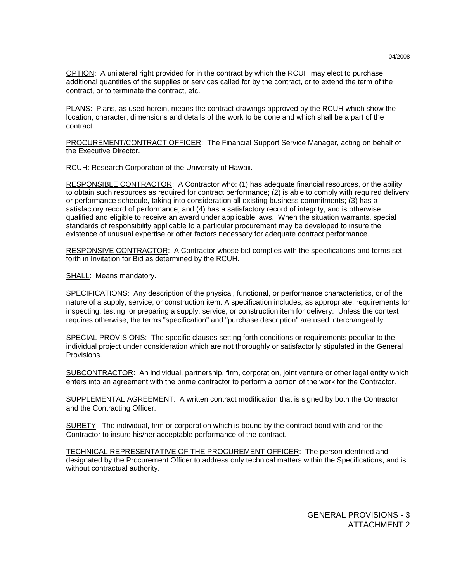OPTION: A unilateral right provided for in the contract by which the RCUH may elect to purchase additional quantities of the supplies or services called for by the contract, or to extend the term of the contract, or to terminate the contract, etc.

PLANS: Plans, as used herein, means the contract drawings approved by the RCUH which show the location, character, dimensions and details of the work to be done and which shall be a part of the contract.

 PROCUREMENT/CONTRACT OFFICER: The Financial Support Service Manager, acting on behalf of the Executive Director.

RCUH: Research Corporation of the University of Hawaii.

 RESPONSIBLE CONTRACTOR: A Contractor who: (1) has adequate financial resources, or the ability to obtain such resources as required for contract performance; (2) is able to comply with required delivery or performance schedule, taking into consideration all existing business commitments; (3) has a satisfactory record of performance; and (4) has a satisfactory record of integrity, and is otherwise qualified and eligible to receive an award under applicable laws. When the situation warrants, special standards of responsibility applicable to a particular procurement may be developed to insure the existence of unusual expertise or other factors necessary for adequate contract performance.

 RESPONSIVE CONTRACTOR: A Contractor whose bid complies with the specifications and terms set forth in Invitation for Bid as determined by the RCUH.

SHALL: Means mandatory.

SPECIFICATIONS: Any description of the physical, functional, or performance characteristics, or of the nature of a supply, service, or construction item. A specification includes, as appropriate, requirements for inspecting, testing, or preparing a supply, service, or construction item for delivery. Unless the context requires otherwise, the terms "specification" and "purchase description" are used interchangeably.

SPECIAL PROVISIONS: The specific clauses setting forth conditions or requirements peculiar to the individual project under consideration which are not thoroughly or satisfactorily stipulated in the General Provisions.

SUBCONTRACTOR: An individual, partnership, firm, corporation, joint venture or other legal entity which enters into an agreement with the prime contractor to perform a portion of the work for the Contractor.

SUPPLEMENTAL AGREEMENT: A written contract modification that is signed by both the Contractor and the Contracting Officer.

SURETY: The individual, firm or corporation which is bound by the contract bond with and for the Contractor to insure his/her acceptable performance of the contract.

 TECHNICAL REPRESENTATIVE OF THE PROCUREMENT OFFICER: The person identified and designated by the Procurement Officer to address only technical matters within the Specifications, and is without contractual authority.

GENERAL PROVISIONS - 3 ATTACHMENT 2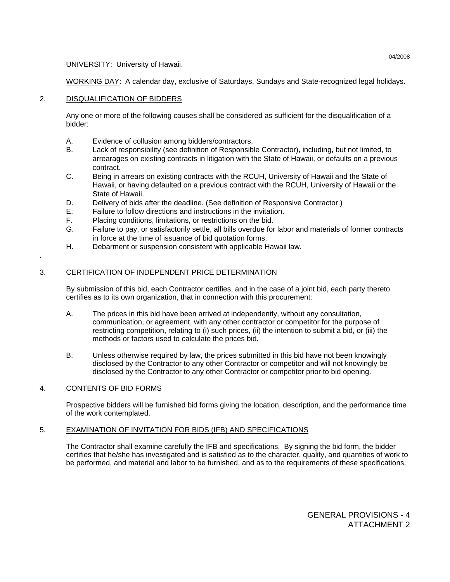UNIVERSITY: University of Hawaii.

WORKING DAY: A calendar day, exclusive of Saturdays, Sundays and State-recognized legal holidays.

# 2. DISQUALIFICATION OF BIDDERS

 Any one or more of the following causes shall be considered as sufficient for the disqualification of a bidder:

- A. Evidence of collusion among bidders/contractors.
- B. Lack of responsibility (see definition of Responsible Contractor), including, but not limited, to arrearages on existing contracts in litigation with the State of Hawaii, or defaults on a previous contract.
- C. Being in arrears on existing contracts with the RCUH, University of Hawaii and the State of Hawaii, or having defaulted on a previous contract with the RCUH, University of Hawaii or the State of Hawaii.
- D. Delivery of bids after the deadline. (See definition of Responsive Contractor.)
- E. Failure to follow directions and instructions in the invitation.
- F. Placing conditions, limitations, or restrictions on the bid.
- G. Failure to pay, or satisfactorily settle, all bills overdue for labor and materials of former contracts in force at the time of issuance of bid quotation forms.
- H. Debarment or suspension consistent with applicable Hawaii law.

# 3. CERTIFICATION OF INDEPENDENT PRICE DETERMINATION

 By submission of this bid, each Contractor certifies, and in the case of a joint bid, each party thereto certifies as to its own organization, that in connection with this procurement:

- A. The prices in this bid have been arrived at independently, without any consultation, communication, or agreement, with any other contractor or competitor for the purpose of restricting competition, relating to (i) such prices, (ii) the intention to submit a bid, or (iii) the methods or factors used to calculate the prices bid.
- B. Unless otherwise required by law, the prices submitted in this bid have not been knowingly disclosed by the Contractor to any other Contractor or competitor and will not knowingly be disclosed by the Contractor to any other Contractor or competitor prior to bid opening.

# 4. CONTENTS OF BID FORMS

.

 Prospective bidders will be furnished bid forms giving the location, description, and the performance time of the work contemplated.

# 5. EXAMINATION OF INVITATION FOR BIDS (IFB) AND SPECIFICATIONS

 The Contractor shall examine carefully the IFB and specifications. By signing the bid form, the bidder certifies that he/she has investigated and is satisfied as to the character, quality, and quantities of work to be performed, and material and labor to be furnished, and as to the requirements of these specifications.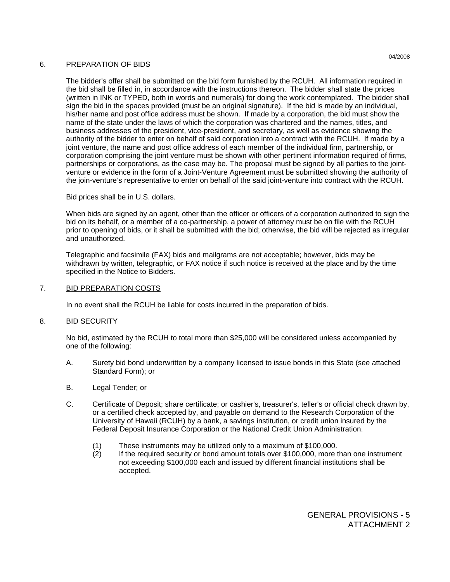# 6. PREPARATION OF BIDS

 The bidder's offer shall be submitted on the bid form furnished by the RCUH. All information required in the bid shall be filled in, in accordance with the instructions thereon. The bidder shall state the prices (written in INK or TYPED, both in words and numerals) for doing the work contemplated. The bidder shall sign the bid in the spaces provided (must be an original signature). If the bid is made by an individual, his/her name and post office address must be shown. If made by a corporation, the bid must show the name of the state under the laws of which the corporation was chartered and the names, titles, and business addresses of the president, vice-president, and secretary, as well as evidence showing the authority of the bidder to enter on behalf of said corporation into a contract with the RCUH. If made by a joint venture, the name and post office address of each member of the individual firm, partnership, or corporation comprising the joint venture must be shown with other pertinent information required of firms, partnerships or corporations, as the case may be. The proposal must be signed by all parties to the jointventure or evidence in the form of a Joint-Venture Agreement must be submitted showing the authority of the join-venture's representative to enter on behalf of the said joint-venture into contract with the RCUH.

Bid prices shall be in U.S. dollars.

 When bids are signed by an agent, other than the officer or officers of a corporation authorized to sign the bid on its behalf, or a member of a co-partnership, a power of attorney must be on file with the RCUH prior to opening of bids, or it shall be submitted with the bid; otherwise, the bid will be rejected as irregular and unauthorized.

 Telegraphic and facsimile (FAX) bids and mailgrams are not acceptable; however, bids may be withdrawn by written, telegraphic, or FAX notice if such notice is received at the place and by the time specified in the Notice to Bidders.

# 7. BID PREPARATION COSTS

In no event shall the RCUH be liable for costs incurred in the preparation of bids.

# 8. BID SECURITY

 No bid, estimated by the RCUH to total more than \$25,000 will be considered unless accompanied by one of the following:

- A. Surety bid bond underwritten by a company licensed to issue bonds in this State (see attached Standard Form); or
- B. Legal Tender; or
- C. Certificate of Deposit; share certificate; or cashier's, treasurer's, teller's or official check drawn by, or a certified check accepted by, and payable on demand to the Research Corporation of the University of Hawaii (RCUH) by a bank, a savings institution, or credit union insured by the Federal Deposit Insurance Corporation or the National Credit Union Administration.
	- (1) These instruments may be utilized only to a maximum of \$100,000.
	- (2) If the required security or bond amount totals over \$100,000, more than one instrument not exceeding \$100,000 each and issued by different financial institutions shall be accepted.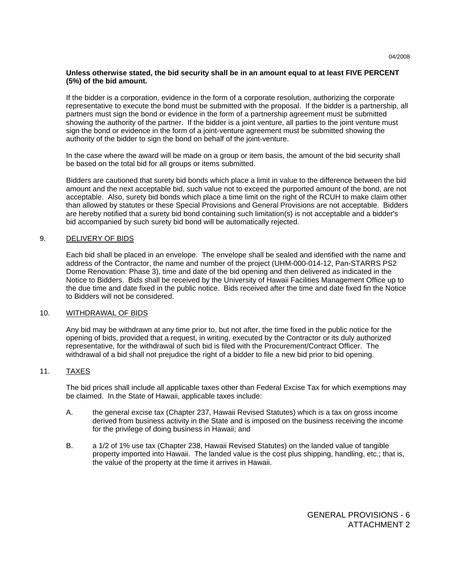# **Unless otherwise stated, the bid security shall be in an amount equal to at least FIVE PERCENT (5%) of the bid amount.**

 If the bidder is a corporation, evidence in the form of a corporate resolution, authorizing the corporate representative to execute the bond must be submitted with the proposal. If the bidder is a partnership, all partners must sign the bond or evidence in the form of a partnership agreement must be submitted showing the authority of the partner. If the bidder is a joint venture, all parties to the joint venture must sign the bond or evidence in the form of a joint-venture agreement must be submitted showing the authority of the bidder to sign the bond on behalf of the joint-venture.

 In the case where the award will be made on a group or item basis, the amount of the bid security shall be based on the total bid for all groups or items submitted.

 Bidders are cautioned that surety bid bonds which place a limit in value to the difference between the bid amount and the next acceptable bid, such value not to exceed the purported amount of the bond, are not acceptable. Also, surety bid bonds which place a time limit on the right of the RCUH to make claim other than allowed by statutes or these Special Provisions and General Provisions are not acceptable. Bidders are hereby notified that a surety bid bond containing such limitation(s) is not acceptable and a bidder's bid accompanied by such surety bid bond will be automatically rejected.

# 9. DELIVERY OF BIDS

 Each bid shall be placed in an envelope. The envelope shall be sealed and identified with the name and address of the Contractor, the name and number of the project (UHM-000-014-12, Pan-STARRS PS2 Dome Renovation: Phase 3), time and date of the bid opening and then delivered as indicated in the Notice to Bidders. Bids shall be received by the University of Hawaii Facilities Management Office up to the due time and date fixed in the public notice. Bids received after the time and date fixed fin the Notice to Bidders will not be considered.

# 10. WITHDRAWAL OF BIDS

 Any bid may be withdrawn at any time prior to, but not after, the time fixed in the public notice for the opening of bids, provided that a request, in writing, executed by the Contractor or its duly authorized representative, for the withdrawal of such bid is filed with the Procurement/Contract Officer. The withdrawal of a bid shall not prejudice the right of a bidder to file a new bid prior to bid opening.

# 11. TAXES

 The bid prices shall include all applicable taxes other than Federal Excise Tax for which exemptions may be claimed. In the State of Hawaii, applicable taxes include:

- A. the general excise tax (Chapter 237, Hawaii Revised Statutes) which is a tax on gross income derived from business activity in the State and is imposed on the business receiving the income for the privilege of doing business in Hawaii; and
- B. a 1/2 of 1% use tax (Chapter 238, Hawaii Revised Statutes) on the landed value of tangible property imported into Hawaii. The landed value is the cost plus shipping, handling, etc.; that is, the value of the property at the time it arrives in Hawaii.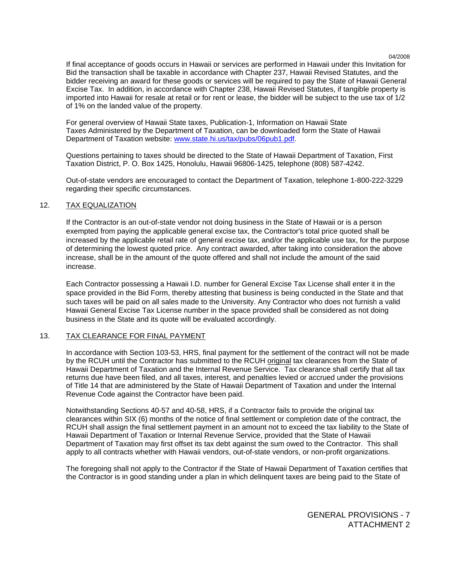If final acceptance of goods occurs in Hawaii or services are performed in Hawaii under this Invitation for Bid the transaction shall be taxable in accordance with Chapter 237, Hawaii Revised Statutes, and the bidder receiving an award for these goods or services will be required to pay the State of Hawaii General Excise Tax. In addition, in accordance with Chapter 238, Hawaii Revised Statutes, if tangible property is imported into Hawaii for resale at retail or for rent or lease, the bidder will be subject to the use tax of 1/2 of 1% on the landed value of the property.

 For general overview of Hawaii State taxes, Publication-1, Information on Hawaii State Taxes Administered by the Department of Taxation, can be downloaded form the State of Hawaii Department of Taxation website: www.state.hi.us/tax/pubs/06pub1.pdf.

 Questions pertaining to taxes should be directed to the State of Hawaii Department of Taxation, First Taxation District, P. O. Box 1425, Honolulu, Hawaii 96806-1425, telephone (808) 587-4242.

 Out-of-state vendors are encouraged to contact the Department of Taxation, telephone 1-800-222-3229 regarding their specific circumstances.

### 12. TAX EQUALIZATION

 If the Contractor is an out-of-state vendor not doing business in the State of Hawaii or is a person exempted from paying the applicable general excise tax, the Contractor's total price quoted shall be increased by the applicable retail rate of general excise tax, and/or the applicable use tax, for the purpose of determining the lowest quoted price. Any contract awarded, after taking into consideration the above increase, shall be in the amount of the quote offered and shall not include the amount of the said increase.

 Each Contractor possessing a Hawaii I.D. number for General Excise Tax License shall enter it in the space provided in the Bid Form, thereby attesting that business is being conducted in the State and that such taxes will be paid on all sales made to the University. Any Contractor who does not furnish a valid Hawaii General Excise Tax License number in the space provided shall be considered as not doing business in the State and its quote will be evaluated accordingly.

# 13. TAX CLEARANCE FOR FINAL PAYMENT

 In accordance with Section 103-53, HRS, final payment for the settlement of the contract will not be made by the RCUH until the Contractor has submitted to the RCUH original tax clearances from the State of Hawaii Department of Taxation and the Internal Revenue Service. Tax clearance shall certify that all tax returns due have been filed, and all taxes, interest, and penalties levied or accrued under the provisions of Title 14 that are administered by the State of Hawaii Department of Taxation and under the Internal Revenue Code against the Contractor have been paid.

 Notwithstanding Sections 40-57 and 40-58, HRS, if a Contractor fails to provide the original tax clearances within SIX (6) months of the notice of final settlement or completion date of the contract, the RCUH shall assign the final settlement payment in an amount not to exceed the tax liability to the State of Hawaii Department of Taxation or Internal Revenue Service, provided that the State of Hawaii Department of Taxation may first offset its tax debt against the sum owed to the Contractor. This shall apply to all contracts whether with Hawaii vendors, out-of-state vendors, or non-profit organizations.

 The foregoing shall not apply to the Contractor if the State of Hawaii Department of Taxation certifies that the Contractor is in good standing under a plan in which delinquent taxes are being paid to the State of

> GENERAL PROVISIONS - 7 ATTACHMENT 2

04/2008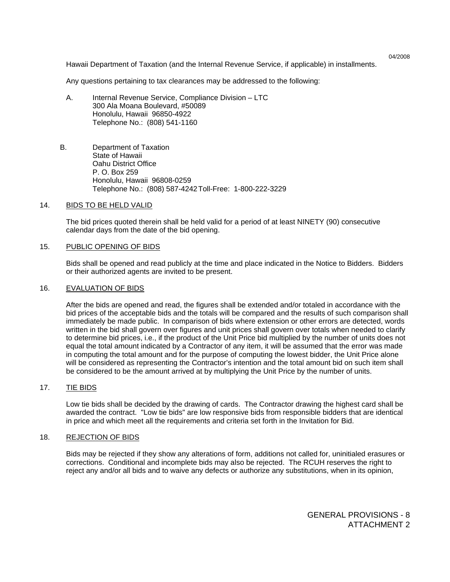Hawaii Department of Taxation (and the Internal Revenue Service, if applicable) in installments.

Any questions pertaining to tax clearances may be addressed to the following:

- A. Internal Revenue Service, Compliance Division LTC 300 Ala Moana Boulevard, #50089 Honolulu, Hawaii 96850-4922 Telephone No.: (808) 541-1160
- B. Department of Taxation State of Hawaii Oahu District Office P. O. Box 259 Honolulu, Hawaii 96808-0259 Telephone No.: (808) 587-4242 Toll-Free: 1-800-222-3229

### 14. BIDS TO BE HELD VALID

 The bid prices quoted therein shall be held valid for a period of at least NINETY (90) consecutive calendar days from the date of the bid opening.

#### 15. PUBLIC OPENING OF BIDS

 Bids shall be opened and read publicly at the time and place indicated in the Notice to Bidders. Bidders or their authorized agents are invited to be present.

#### 16. EVALUATION OF BIDS

 After the bids are opened and read, the figures shall be extended and/or totaled in accordance with the bid prices of the acceptable bids and the totals will be compared and the results of such comparison shall immediately be made public. In comparison of bids where extension or other errors are detected, words written in the bid shall govern over figures and unit prices shall govern over totals when needed to clarify to determine bid prices, i.e., if the product of the Unit Price bid multiplied by the number of units does not equal the total amount indicated by a Contractor of any item, it will be assumed that the error was made in computing the total amount and for the purpose of computing the lowest bidder, the Unit Price alone will be considered as representing the Contractor's intention and the total amount bid on such item shall be considered to be the amount arrived at by multiplying the Unit Price by the number of units.

# 17. TIE BIDS

 Low tie bids shall be decided by the drawing of cards. The Contractor drawing the highest card shall be awarded the contract. "Low tie bids" are low responsive bids from responsible bidders that are identical in price and which meet all the requirements and criteria set forth in the Invitation for Bid.

#### 18. REJECTION OF BIDS

 Bids may be rejected if they show any alterations of form, additions not called for, uninitialed erasures or corrections. Conditional and incomplete bids may also be rejected. The RCUH reserves the right to reject any and/or all bids and to waive any defects or authorize any substitutions, when in its opinion,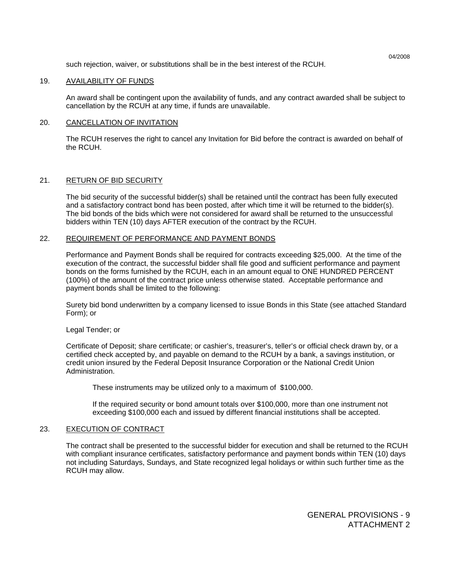such rejection, waiver, or substitutions shall be in the best interest of the RCUH.

### 19. AVAILABILITY OF FUNDS

 An award shall be contingent upon the availability of funds, and any contract awarded shall be subject to cancellation by the RCUH at any time, if funds are unavailable.

### 20. CANCELLATION OF INVITATION

 The RCUH reserves the right to cancel any Invitation for Bid before the contract is awarded on behalf of the RCUH.

# 21. RETURN OF BID SECURITY

 The bid security of the successful bidder(s) shall be retained until the contract has been fully executed and a satisfactory contract bond has been posted, after which time it will be returned to the bidder(s). The bid bonds of the bids which were not considered for award shall be returned to the unsuccessful bidders within TEN (10) days AFTER execution of the contract by the RCUH.

# 22. REQUIREMENT OF PERFORMANCE AND PAYMENT BONDS

 Performance and Payment Bonds shall be required for contracts exceeding \$25,000. At the time of the execution of the contract, the successful bidder shall file good and sufficient performance and payment bonds on the forms furnished by the RCUH, each in an amount equal to ONE HUNDRED PERCENT (100%) of the amount of the contract price unless otherwise stated. Acceptable performance and payment bonds shall be limited to the following:

 Surety bid bond underwritten by a company licensed to issue Bonds in this State (see attached Standard Form); or

#### Legal Tender; or

 Certificate of Deposit; share certificate; or cashier's, treasurer's, teller's or official check drawn by, or a certified check accepted by, and payable on demand to the RCUH by a bank, a savings institution, or credit union insured by the Federal Deposit Insurance Corporation or the National Credit Union Administration.

These instruments may be utilized only to a maximum of \$100,000.

 If the required security or bond amount totals over \$100,000, more than one instrument not exceeding \$100,000 each and issued by different financial institutions shall be accepted.

# 23. EXECUTION OF CONTRACT

 The contract shall be presented to the successful bidder for execution and shall be returned to the RCUH with compliant insurance certificates, satisfactory performance and payment bonds within TEN (10) days not including Saturdays, Sundays, and State recognized legal holidays or within such further time as the RCUH may allow.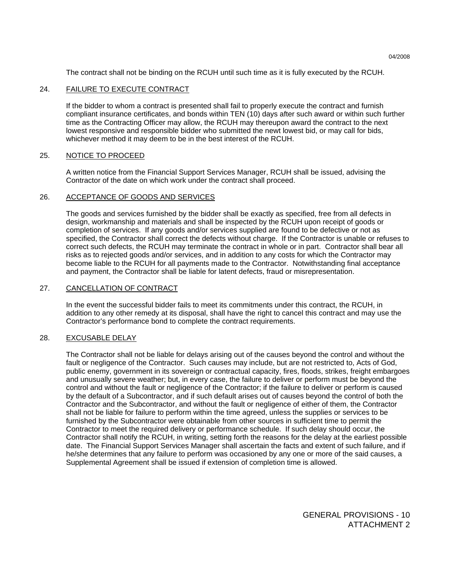The contract shall not be binding on the RCUH until such time as it is fully executed by the RCUH.

# 24. FAILURE TO EXECUTE CONTRACT

 If the bidder to whom a contract is presented shall fail to properly execute the contract and furnish compliant insurance certificates, and bonds within TEN (10) days after such award or within such further time as the Contracting Officer may allow, the RCUH may thereupon award the contract to the next lowest responsive and responsible bidder who submitted the newt lowest bid, or may call for bids, whichever method it may deem to be in the best interest of the RCUH.

# 25. NOTICE TO PROCEED

 A written notice from the Financial Support Services Manager, RCUH shall be issued, advising the Contractor of the date on which work under the contract shall proceed.

### 26. ACCEPTANCE OF GOODS AND SERVICES

 The goods and services furnished by the bidder shall be exactly as specified, free from all defects in design, workmanship and materials and shall be inspected by the RCUH upon receipt of goods or completion of services. If any goods and/or services supplied are found to be defective or not as specified, the Contractor shall correct the defects without charge. If the Contractor is unable or refuses to correct such defects, the RCUH may terminate the contract in whole or in part. Contractor shall bear all risks as to rejected goods and/or services, and in addition to any costs for which the Contractor may become liable to the RCUH for all payments made to the Contractor. Notwithstanding final acceptance and payment, the Contractor shall be liable for latent defects, fraud or misrepresentation.

# 27. CANCELLATION OF CONTRACT

 In the event the successful bidder fails to meet its commitments under this contract, the RCUH, in addition to any other remedy at its disposal, shall have the right to cancel this contract and may use the Contractor's performance bond to complete the contract requirements.

#### 28. EXCUSABLE DELAY

 The Contractor shall not be liable for delays arising out of the causes beyond the control and without the fault or negligence of the Contractor. Such causes may include, but are not restricted to, Acts of God, public enemy, government in its sovereign or contractual capacity, fires, floods, strikes, freight embargoes and unusually severe weather; but, in every case, the failure to deliver or perform must be beyond the control and without the fault or negligence of the Contractor; if the failure to deliver or perform is caused by the default of a Subcontractor, and if such default arises out of causes beyond the control of both the Contractor and the Subcontractor, and without the fault or negligence of either of them, the Contractor shall not be liable for failure to perform within the time agreed, unless the supplies or services to be furnished by the Subcontractor were obtainable from other sources in sufficient time to permit the Contractor to meet the required delivery or performance schedule. If such delay should occur, the Contractor shall notify the RCUH, in writing, setting forth the reasons for the delay at the earliest possible date. The Financial Support Services Manager shall ascertain the facts and extent of such failure, and if he/she determines that any failure to perform was occasioned by any one or more of the said causes, a Supplemental Agreement shall be issued if extension of completion time is allowed.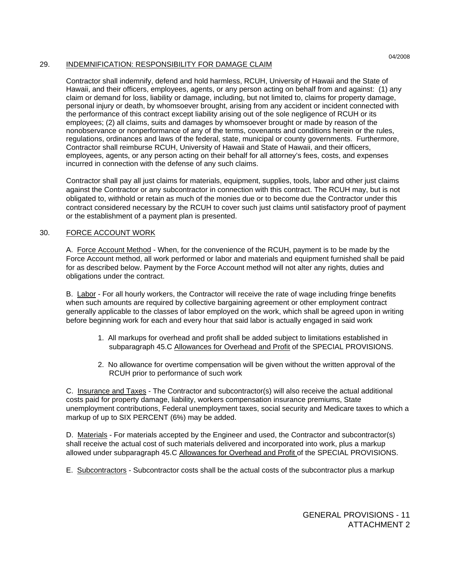# 29. INDEMNIFICATION: RESPONSIBILITY FOR DAMAGE CLAIM

 Contractor shall indemnify, defend and hold harmless, RCUH, University of Hawaii and the State of Hawaii, and their officers, employees, agents, or any person acting on behalf from and against: (1) any claim or demand for loss, liability or damage, including, but not limited to, claims for property damage, personal injury or death, by whomsoever brought, arising from any accident or incident connected with the performance of this contract except liability arising out of the sole negligence of RCUH or its employees; (2) all claims, suits and damages by whomsoever brought or made by reason of the nonobservance or nonperformance of any of the terms, covenants and conditions herein or the rules, regulations, ordinances and laws of the federal, state, municipal or county governments. Furthermore, Contractor shall reimburse RCUH, University of Hawaii and State of Hawaii, and their officers, employees, agents, or any person acting on their behalf for all attorney's fees, costs, and expenses incurred in connection with the defense of any such claims.

Contractor shall pay all just claims for materials, equipment, supplies, tools, labor and other just claims against the Contractor or any subcontractor in connection with this contract. The RCUH may, but is not obligated to, withhold or retain as much of the monies due or to become due the Contractor under this contract considered necessary by the RCUH to cover such just claims until satisfactory proof of payment or the establishment of a payment plan is presented.

# 30. FORCE ACCOUNT WORK

 A. Force Account Method - When, for the convenience of the RCUH, payment is to be made by the Force Account method, all work performed or labor and materials and equipment furnished shall be paid for as described below. Payment by the Force Account method will not alter any rights, duties and obligations under the contract.

B. Labor - For all hourly workers, the Contractor will receive the rate of wage including fringe benefits when such amounts are required by collective bargaining agreement or other employment contract generally applicable to the classes of labor employed on the work, which shall be agreed upon in writing before beginning work for each and every hour that said labor is actually engaged in said work

- 1. All markups for overhead and profit shall be added subject to limitations established in subparagraph 45.C Allowances for Overhead and Profit of the SPECIAL PROVISIONS.
- 2. No allowance for overtime compensation will be given without the written approval of the RCUH prior to performance of such work

 C. Insurance and Taxes - The Contractor and subcontractor(s) will also receive the actual additional costs paid for property damage, liability, workers compensation insurance premiums, State unemployment contributions, Federal unemployment taxes, social security and Medicare taxes to which a markup of up to SIX PERCENT (6%) may be added.

D. Materials - For materials accepted by the Engineer and used, the Contractor and subcontractor(s) shall receive the actual cost of such materials delivered and incorporated into work, plus a markup allowed under subparagraph 45.C Allowances for Overhead and Profit of the SPECIAL PROVISIONS.

E. Subcontractors - Subcontractor costs shall be the actual costs of the subcontractor plus a markup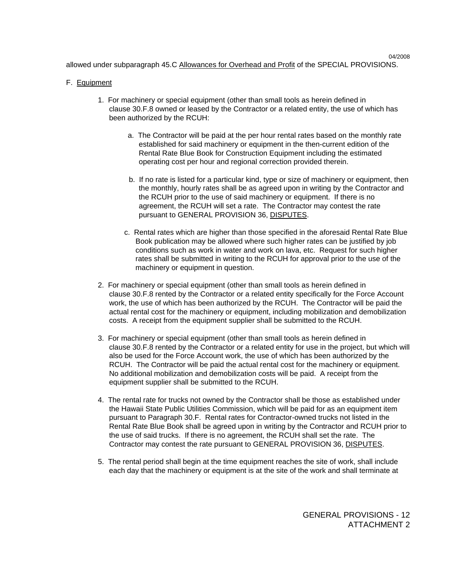allowed under subparagraph 45.C Allowances for Overhead and Profit of the SPECIAL PROVISIONS.

# F. Equipment

- 1. For machinery or special equipment (other than small tools as herein defined in clause 30.F.8 owned or leased by the Contractor or a related entity, the use of which has been authorized by the RCUH:
	- a. The Contractor will be paid at the per hour rental rates based on the monthly rate established for said machinery or equipment in the then-current edition of the Rental Rate Blue Book for Construction Equipment including the estimated operating cost per hour and regional correction provided therein.
	- b. If no rate is listed for a particular kind, type or size of machinery or equipment, then the monthly, hourly rates shall be as agreed upon in writing by the Contractor and the RCUH prior to the use of said machinery or equipment. If there is no agreement, the RCUH will set a rate. The Contractor may contest the rate pursuant to GENERAL PROVISION 36, DISPUTES.
	- c. Rental rates which are higher than those specified in the aforesaid Rental Rate Blue Book publication may be allowed where such higher rates can be justified by job conditions such as work in water and work on lava, etc. Request for such higher rates shall be submitted in writing to the RCUH for approval prior to the use of the machinery or equipment in question.
- 2. For machinery or special equipment (other than small tools as herein defined in clause 30.F.8 rented by the Contractor or a related entity specifically for the Force Account work, the use of which has been authorized by the RCUH. The Contractor will be paid the actual rental cost for the machinery or equipment, including mobilization and demobilization costs. A receipt from the equipment supplier shall be submitted to the RCUH.
- 3. For machinery or special equipment (other than small tools as herein defined in clause 30.F.8 rented by the Contractor or a related entity for use in the project, but which will also be used for the Force Account work, the use of which has been authorized by the RCUH. The Contractor will be paid the actual rental cost for the machinery or equipment. No additional mobilization and demobilization costs will be paid. A receipt from the equipment supplier shall be submitted to the RCUH.
- 4. The rental rate for trucks not owned by the Contractor shall be those as established under the Hawaii State Public Utilities Commission, which will be paid for as an equipment item pursuant to Paragraph 30.F. Rental rates for Contractor-owned trucks not listed in the Rental Rate Blue Book shall be agreed upon in writing by the Contractor and RCUH prior to the use of said trucks. If there is no agreement, the RCUH shall set the rate. The Contractor may contest the rate pursuant to GENERAL PROVISION 36, DISPUTES.
- 5. The rental period shall begin at the time equipment reaches the site of work, shall include each day that the machinery or equipment is at the site of the work and shall terminate at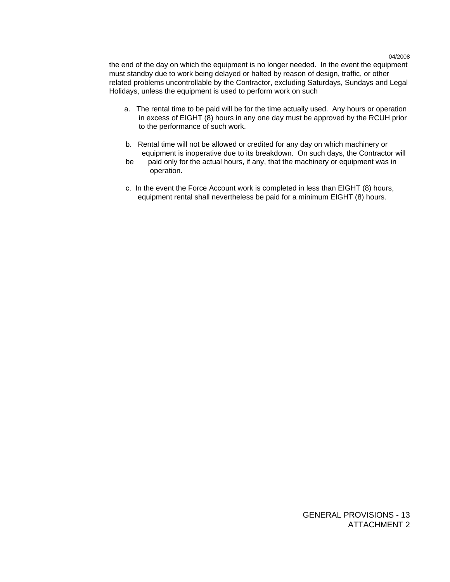the end of the day on which the equipment is no longer needed. In the event the equipment must standby due to work being delayed or halted by reason of design, traffic, or other related problems uncontrollable by the Contractor, excluding Saturdays, Sundays and Legal Holidays, unless the equipment is used to perform work on such

- a. The rental time to be paid will be for the time actually used. Any hours or operation in excess of EIGHT (8) hours in any one day must be approved by the RCUH prior to the performance of such work.
- b. Rental time will not be allowed or credited for any day on which machinery or equipment is inoperative due to its breakdown. On such days, the Contractor will
- be paid only for the actual hours, if any, that the machinery or equipment was in operation.
- c. In the event the Force Account work is completed in less than EIGHT (8) hours, equipment rental shall nevertheless be paid for a minimum EIGHT (8) hours.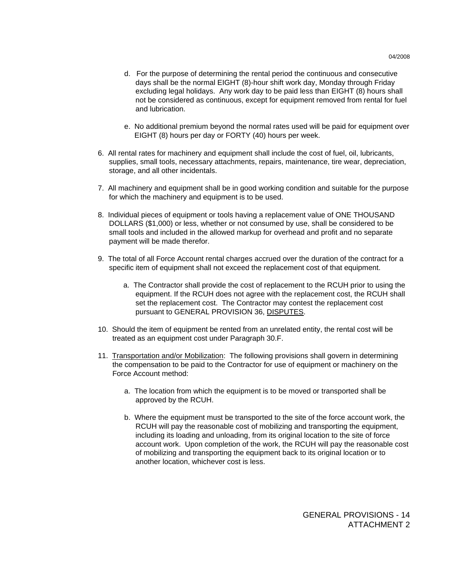- d. For the purpose of determining the rental period the continuous and consecutive days shall be the normal EIGHT (8)-hour shift work day, Monday through Friday excluding legal holidays. Any work day to be paid less than EIGHT (8) hours shall not be considered as continuous, except for equipment removed from rental for fuel and lubrication.
- e. No additional premium beyond the normal rates used will be paid for equipment over EIGHT (8) hours per day or FORTY (40) hours per week.
- 6. All rental rates for machinery and equipment shall include the cost of fuel, oil, lubricants, supplies, small tools, necessary attachments, repairs, maintenance, tire wear, depreciation, storage, and all other incidentals.
- 7. All machinery and equipment shall be in good working condition and suitable for the purpose for which the machinery and equipment is to be used.
- 8. Individual pieces of equipment or tools having a replacement value of ONE THOUSAND DOLLARS (\$1,000) or less, whether or not consumed by use, shall be considered to be small tools and included in the allowed markup for overhead and profit and no separate payment will be made therefor.
- 9. The total of all Force Account rental charges accrued over the duration of the contract for a specific item of equipment shall not exceed the replacement cost of that equipment.
	- a. The Contractor shall provide the cost of replacement to the RCUH prior to using the equipment. If the RCUH does not agree with the replacement cost, the RCUH shall set the replacement cost. The Contractor may contest the replacement cost pursuant to GENERAL PROVISION 36, DISPUTES.
- 10. Should the item of equipment be rented from an unrelated entity, the rental cost will be treated as an equipment cost under Paragraph 30.F.
- 11. Transportation and/or Mobilization: The following provisions shall govern in determining the compensation to be paid to the Contractor for use of equipment or machinery on the Force Account method:
	- a. The location from which the equipment is to be moved or transported shall be approved by the RCUH.
	- b. Where the equipment must be transported to the site of the force account work, the RCUH will pay the reasonable cost of mobilizing and transporting the equipment, including its loading and unloading, from its original location to the site of force account work. Upon completion of the work, the RCUH will pay the reasonable cost of mobilizing and transporting the equipment back to its original location or to another location, whichever cost is less.

GENERAL PROVISIONS - 14 ATTACHMENT 2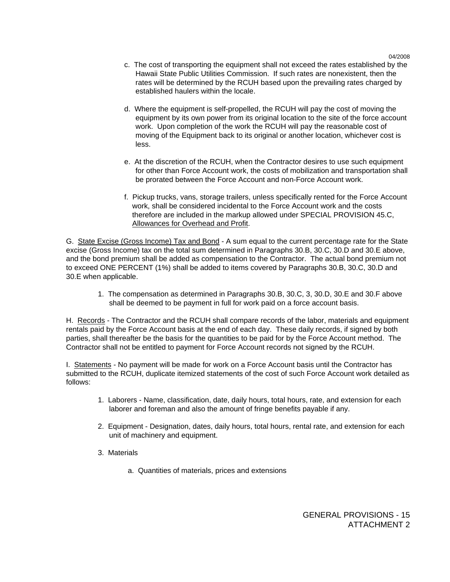- c. The cost of transporting the equipment shall not exceed the rates established by the Hawaii State Public Utilities Commission. If such rates are nonexistent, then the rates will be determined by the RCUH based upon the prevailing rates charged by established haulers within the locale.
- d. Where the equipment is self-propelled, the RCUH will pay the cost of moving the equipment by its own power from its original location to the site of the force account work. Upon completion of the work the RCUH will pay the reasonable cost of moving of the Equipment back to its original or another location, whichever cost is less.
- e. At the discretion of the RCUH, when the Contractor desires to use such equipment for other than Force Account work, the costs of mobilization and transportation shall be prorated between the Force Account and non-Force Account work.
- f. Pickup trucks, vans, storage trailers, unless specifically rented for the Force Account work, shall be considered incidental to the Force Account work and the costs therefore are included in the markup allowed under SPECIAL PROVISION 45.C, Allowances for Overhead and Profit.

 G. State Excise (Gross Income) Tax and Bond - A sum equal to the current percentage rate for the State excise (Gross Income) tax on the total sum determined in Paragraphs 30.B, 30.C, 30.D and 30.E above, and the bond premium shall be added as compensation to the Contractor. The actual bond premium not to exceed ONE PERCENT (1%) shall be added to items covered by Paragraphs 30.B, 30.C, 30.D and 30.E when applicable.

 1. The compensation as determined in Paragraphs 30.B, 30.C, 3, 30.D, 30.E and 30.F above shall be deemed to be payment in full for work paid on a force account basis.

 H. Records - The Contractor and the RCUH shall compare records of the labor, materials and equipment rentals paid by the Force Account basis at the end of each day. These daily records, if signed by both parties, shall thereafter be the basis for the quantities to be paid for by the Force Account method. The Contractor shall not be entitled to payment for Force Account records not signed by the RCUH.

 I. Statements - No payment will be made for work on a Force Account basis until the Contractor has submitted to the RCUH, duplicate itemized statements of the cost of such Force Account work detailed as follows:

- 1. Laborers Name, classification, date, daily hours, total hours, rate, and extension for each laborer and foreman and also the amount of fringe benefits payable if any.
- 2. Equipment Designation, dates, daily hours, total hours, rental rate, and extension for each unit of machinery and equipment.
- 3. Materials
	- a. Quantities of materials, prices and extensions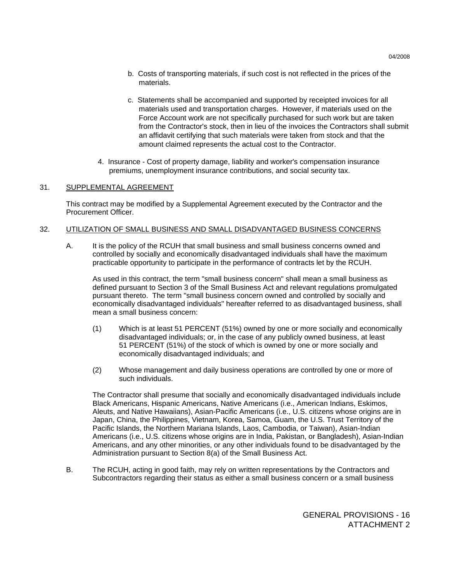- b. Costs of transporting materials, if such cost is not reflected in the prices of the materials.
- c. Statements shall be accompanied and supported by receipted invoices for all materials used and transportation charges. However, if materials used on the Force Account work are not specifically purchased for such work but are taken from the Contractor's stock, then in lieu of the invoices the Contractors shall submit an affidavit certifying that such materials were taken from stock and that the amount claimed represents the actual cost to the Contractor.
- 4. Insurance Cost of property damage, liability and worker's compensation insurance premiums, unemployment insurance contributions, and social security tax.

# 31. SUPPLEMENTAL AGREEMENT

 This contract may be modified by a Supplemental Agreement executed by the Contractor and the Procurement Officer.

# 32. UTILIZATION OF SMALL BUSINESS AND SMALL DISADVANTAGED BUSINESS CONCERNS

 A. It is the policy of the RCUH that small business and small business concerns owned and controlled by socially and economically disadvantaged individuals shall have the maximum practicable opportunity to participate in the performance of contracts let by the RCUH.

 As used in this contract, the term "small business concern" shall mean a small business as defined pursuant to Section 3 of the Small Business Act and relevant regulations promulgated pursuant thereto. The term "small business concern owned and controlled by socially and economically disadvantaged individuals" hereafter referred to as disadvantaged business, shall mean a small business concern:

- (1) Which is at least 51 PERCENT (51%) owned by one or more socially and economically disadvantaged individuals; or, in the case of any publicly owned business, at least 51 PERCENT (51%) of the stock of which is owned by one or more socially and economically disadvantaged individuals; and
- (2) Whose management and daily business operations are controlled by one or more of such individuals.

 The Contractor shall presume that socially and economically disadvantaged individuals include Black Americans, Hispanic Americans, Native Americans (i.e., American Indians, Eskimos, Aleuts, and Native Hawaiians), Asian-Pacific Americans (i.e., U.S. citizens whose origins are in Japan, China, the Philippines, Vietnam, Korea, Samoa, Guam, the U.S. Trust Territory of the Pacific Islands, the Northern Mariana Islands, Laos, Cambodia, or Taiwan), Asian-Indian Americans (i.e., U.S. citizens whose origins are in India, Pakistan, or Bangladesh), Asian-Indian Americans, and any other minorities, or any other individuals found to be disadvantaged by the Administration pursuant to Section 8(a) of the Small Business Act.

 B. The RCUH, acting in good faith, may rely on written representations by the Contractors and Subcontractors regarding their status as either a small business concern or a small business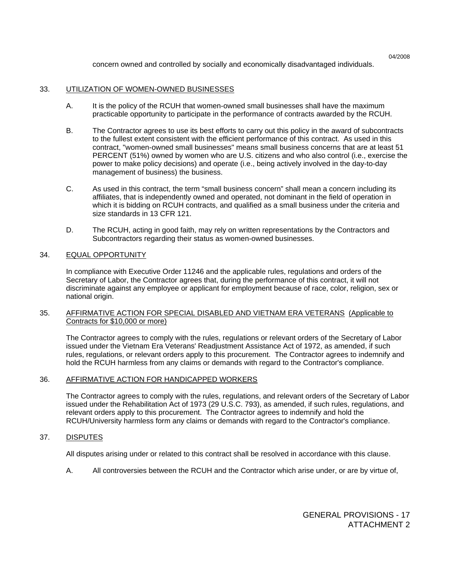concern owned and controlled by socially and economically disadvantaged individuals.

# 33. UTILIZATION OF WOMEN-OWNED BUSINESSES

- A. It is the policy of the RCUH that women-owned small businesses shall have the maximum practicable opportunity to participate in the performance of contracts awarded by the RCUH.
- B. The Contractor agrees to use its best efforts to carry out this policy in the award of subcontracts to the fullest extent consistent with the efficient performance of this contract. As used in this contract, "women-owned small businesses" means small business concerns that are at least 51 PERCENT (51%) owned by women who are U.S. citizens and who also control (i.e., exercise the power to make policy decisions) and operate (i.e., being actively involved in the day-to-day management of business) the business.
- C. As used in this contract, the term "small business concern" shall mean a concern including its affiliates, that is independently owned and operated, not dominant in the field of operation in which it is bidding on RCUH contracts, and qualified as a small business under the criteria and size standards in 13 CFR 121.
- D. The RCUH, acting in good faith, may rely on written representations by the Contractors and Subcontractors regarding their status as women-owned businesses.

# 34. EQUAL OPPORTUNITY

In compliance with Executive Order 11246 and the applicable rules, regulations and orders of the Secretary of Labor, the Contractor agrees that, during the performance of this contract, it will not discriminate against any employee or applicant for employment because of race, color, religion, sex or national origin.

# 35. AFFIRMATIVE ACTION FOR SPECIAL DISABLED AND VIETNAM ERA VETERANS (Applicable to Contracts for \$10,000 or more)

The Contractor agrees to comply with the rules, regulations or relevant orders of the Secretary of Labor issued under the Vietnam Era Veterans' Readjustment Assistance Act of 1972, as amended, if such rules, regulations, or relevant orders apply to this procurement. The Contractor agrees to indemnify and hold the RCUH harmless from any claims or demands with regard to the Contractor's compliance.

# 36. AFFIRMATIVE ACTION FOR HANDICAPPED WORKERS

The Contractor agrees to comply with the rules, regulations, and relevant orders of the Secretary of Labor issued under the Rehabilitation Act of 1973 (29 U.S.C. 793), as amended, if such rules, regulations, and relevant orders apply to this procurement. The Contractor agrees to indemnify and hold the RCUH/University harmless form any claims or demands with regard to the Contractor's compliance.

# 37. DISPUTES

All disputes arising under or related to this contract shall be resolved in accordance with this clause.

A. All controversies between the RCUH and the Contractor which arise under, or are by virtue of,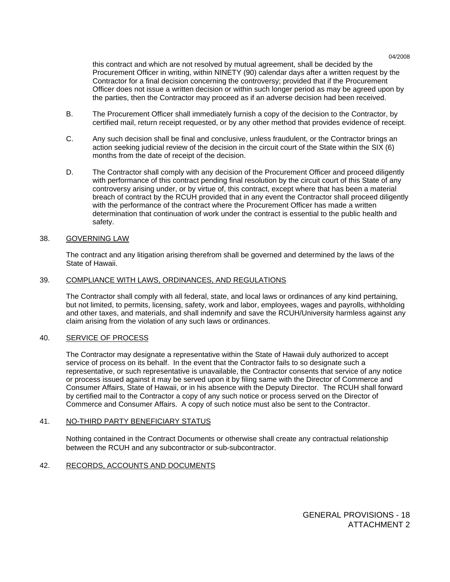this contract and which are not resolved by mutual agreement, shall be decided by the Procurement Officer in writing, within NINETY (90) calendar days after a written request by the Contractor for a final decision concerning the controversy; provided that if the Procurement Officer does not issue a written decision or within such longer period as may be agreed upon by the parties, then the Contractor may proceed as if an adverse decision had been received.

- B. The Procurement Officer shall immediately furnish a copy of the decision to the Contractor, by certified mail, return receipt requested, or by any other method that provides evidence of receipt.
- C. Any such decision shall be final and conclusive, unless fraudulent, or the Contractor brings an action seeking judicial review of the decision in the circuit court of the State within the SIX (6) months from the date of receipt of the decision.
- D. The Contractor shall comply with any decision of the Procurement Officer and proceed diligently with performance of this contract pending final resolution by the circuit court of this State of any controversy arising under, or by virtue of, this contract, except where that has been a material breach of contract by the RCUH provided that in any event the Contractor shall proceed diligently with the performance of the contract where the Procurement Officer has made a written determination that continuation of work under the contract is essential to the public health and safety.

# 38. GOVERNING LAW

The contract and any litigation arising therefrom shall be governed and determined by the laws of the State of Hawaii.

### 39. COMPLIANCE WITH LAWS, ORDINANCES, AND REGULATIONS

The Contractor shall comply with all federal, state, and local laws or ordinances of any kind pertaining, but not limited, to permits, licensing, safety, work and labor, employees, wages and payrolls, withholding and other taxes, and materials, and shall indemnify and save the RCUH/University harmless against any claim arising from the violation of any such laws or ordinances.

#### 40. SERVICE OF PROCESS

The Contractor may designate a representative within the State of Hawaii duly authorized to accept service of process on its behalf. In the event that the Contractor fails to so designate such a representative, or such representative is unavailable, the Contractor consents that service of any notice or process issued against it may be served upon it by filing same with the Director of Commerce and Consumer Affairs, State of Hawaii, or in his absence with the Deputy Director. The RCUH shall forward by certified mail to the Contractor a copy of any such notice or process served on the Director of Commerce and Consumer Affairs. A copy of such notice must also be sent to the Contractor.

### 41. NO-THIRD PARTY BENEFICIARY STATUS

Nothing contained in the Contract Documents or otherwise shall create any contractual relationship between the RCUH and any subcontractor or sub-subcontractor.

# 42. RECORDS, ACCOUNTS AND DOCUMENTS

GENERAL PROVISIONS - 18 ATTACHMENT 2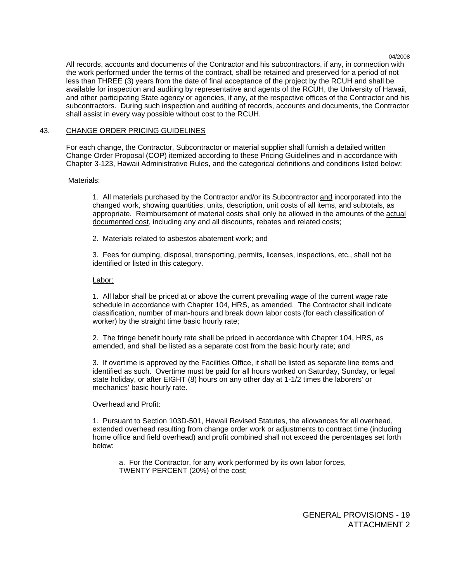All records, accounts and documents of the Contractor and his subcontractors, if any, in connection with the work performed under the terms of the contract, shall be retained and preserved for a period of not less than THREE (3) years from the date of final acceptance of the project by the RCUH and shall be available for inspection and auditing by representative and agents of the RCUH, the University of Hawaii, and other participating State agency or agencies, if any, at the respective offices of the Contractor and his subcontractors. During such inspection and auditing of records, accounts and documents, the Contractor shall assist in every way possible without cost to the RCUH.

# 43. CHANGE ORDER PRICING GUIDELINES

 For each change, the Contractor, Subcontractor or material supplier shall furnish a detailed written Change Order Proposal (COP) itemized according to these Pricing Guidelines and in accordance with Chapter 3-123, Hawaii Administrative Rules, and the categorical definitions and conditions listed below:

### Materials:

1. All materials purchased by the Contractor and/or its Subcontractor and incorporated into the changed work, showing quantities, units, description, unit costs of all items, and subtotals, as appropriate. Reimbursement of material costs shall only be allowed in the amounts of the actual documented cost, including any and all discounts, rebates and related costs;

2. Materials related to asbestos abatement work; and

 3. Fees for dumping, disposal, transporting, permits, licenses, inspections, etc., shall not be identified or listed in this category.

### Labor:

 1. All labor shall be priced at or above the current prevailing wage of the current wage rate schedule in accordance with Chapter 104, HRS, as amended. The Contractor shall indicate classification, number of man-hours and break down labor costs (for each classification of worker) by the straight time basic hourly rate;

 2. The fringe benefit hourly rate shall be priced in accordance with Chapter 104, HRS, as amended, and shall be listed as a separate cost from the basic hourly rate; and

 3. If overtime is approved by the Facilities Office, it shall be listed as separate line items and identified as such. Overtime must be paid for all hours worked on Saturday, Sunday, or legal state holiday, or after EIGHT (8) hours on any other day at 1-1/2 times the laborers' or mechanics' basic hourly rate.

# Overhead and Profit:

 1. Pursuant to Section 103D-501, Hawaii Revised Statutes, the allowances for all overhead, extended overhead resulting from change order work or adjustments to contract time (including home office and field overhead) and profit combined shall not exceed the percentages set forth below:

 a. For the Contractor, for any work performed by its own labor forces, TWENTY PERCENT (20%) of the cost;

> GENERAL PROVISIONS - 19 ATTACHMENT 2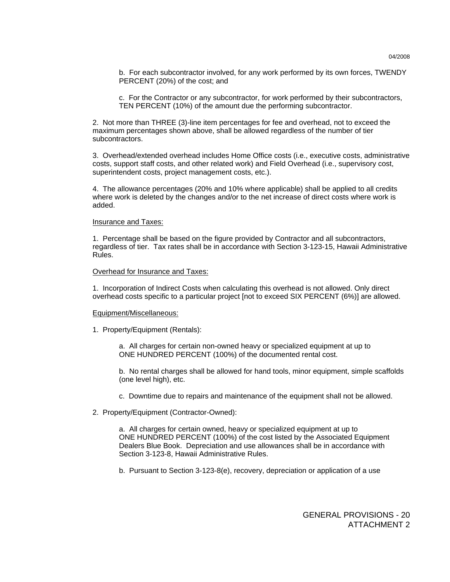b. For each subcontractor involved, for any work performed by its own forces, TWENDY PERCENT (20%) of the cost; and

 c. For the Contractor or any subcontractor, for work performed by their subcontractors, TEN PERCENT (10%) of the amount due the performing subcontractor.

 2. Not more than THREE (3)-line item percentages for fee and overhead, not to exceed the maximum percentages shown above, shall be allowed regardless of the number of tier subcontractors.

 3. Overhead/extended overhead includes Home Office costs (i.e., executive costs, administrative costs, support staff costs, and other related work) and Field Overhead (i.e., supervisory cost, superintendent costs, project management costs, etc.).

 4. The allowance percentages (20% and 10% where applicable) shall be applied to all credits where work is deleted by the changes and/or to the net increase of direct costs where work is added.

#### Insurance and Taxes:

 1. Percentage shall be based on the figure provided by Contractor and all subcontractors, regardless of tier. Tax rates shall be in accordance with Section 3-123-15, Hawaii Administrative Rules.

#### Overhead for Insurance and Taxes:

 1. Incorporation of Indirect Costs when calculating this overhead is not allowed. Only direct overhead costs specific to a particular project [not to exceed SIX PERCENT (6%)] are allowed.

#### Equipment/Miscellaneous:

1. Property/Equipment (Rentals):

 a. All charges for certain non-owned heavy or specialized equipment at up to ONE HUNDRED PERCENT (100%) of the documented rental cost.

 b. No rental charges shall be allowed for hand tools, minor equipment, simple scaffolds (one level high), etc.

- c. Downtime due to repairs and maintenance of the equipment shall not be allowed.
- 2. Property/Equipment (Contractor-Owned):

 a. All charges for certain owned, heavy or specialized equipment at up to ONE HUNDRED PERCENT (100%) of the cost listed by the Associated Equipment Dealers Blue Book. Depreciation and use allowances shall be in accordance with Section 3-123-8, Hawaii Administrative Rules.

b. Pursuant to Section 3-123-8(e), recovery, depreciation or application of a use

# GENERAL PROVISIONS - 20 ATTACHMENT 2